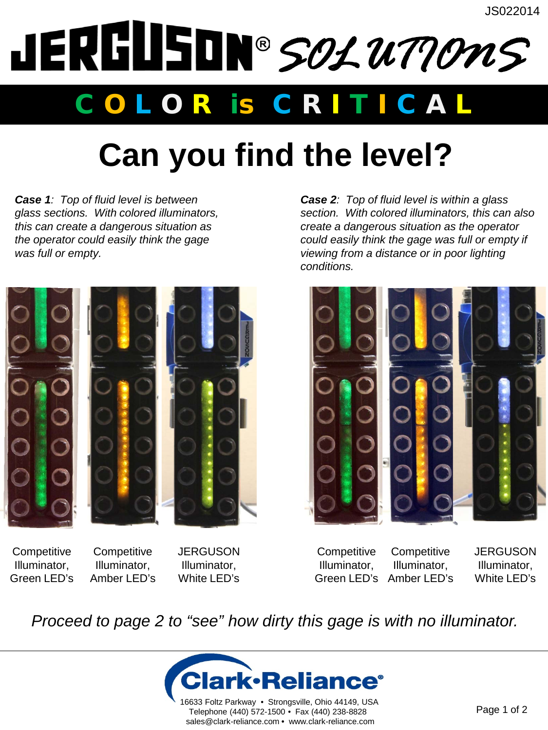# *SOLUTIONS* C O L O R IS C R I T I C A L

## **Can you find the level?**

*Case 1: Top of fluid level is between glass sections. With colored illuminators, this can create a dangerous situation as the operator could easily think the gage was full or empty.*



**Competitive** Illuminator, Green LED's

**Competitive** Illuminator, Amber LED's

JERGUSON Illuminator, White LED's

*Case 2: Top of fluid level is within a glass section. With colored illuminators, this can also create a dangerous situation as the operator could easily think the gage was full or empty if viewing from a distance or in poor lighting conditions.*



**Competitive** Illuminator, Green LED's Amber LED's **Competitive** Illuminator, **JERGUSON** Illuminator, White LED's

*Proceed to page 2 to "see" how dirty this gage is with no illuminator.*



16633 Foltz Parkway • Strongsville, Ohio 44149, USA Telephone (440) 572-1500 • Fax (440) 238-8828 sales@clark-reliance.com **•** www.clark-reliance.com